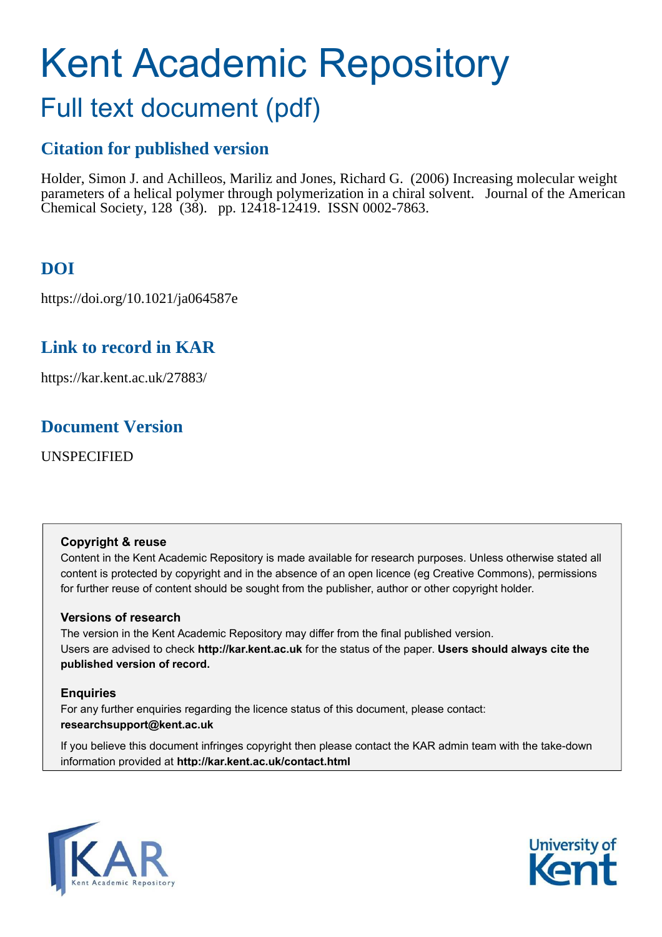# Kent Academic Repository

## Full text document (pdf)

## **Citation for published version**

Holder, Simon J. and Achilleos, Mariliz and Jones, Richard G. (2006) Increasing molecular weight parameters of a helical polymer through polymerization in a chiral solvent. Journal of the American Chemical Society, 128 (38). pp. 12418-12419. ISSN 0002-7863.

## **DOI**

https://doi.org/10.1021/ja064587e

## **Link to record in KAR**

https://kar.kent.ac.uk/27883/

### **Document Version**

UNSPECIFIED

#### **Copyright & reuse**

Content in the Kent Academic Repository is made available for research purposes. Unless otherwise stated all content is protected by copyright and in the absence of an open licence (eg Creative Commons), permissions for further reuse of content should be sought from the publisher, author or other copyright holder.

#### **Versions of research**

The version in the Kent Academic Repository may differ from the final published version. Users are advised to check **http://kar.kent.ac.uk** for the status of the paper. **Users should always cite the published version of record.**

#### **Enquiries**

For any further enquiries regarding the licence status of this document, please contact: **researchsupport@kent.ac.uk**

If you believe this document infringes copyright then please contact the KAR admin team with the take-down information provided at **http://kar.kent.ac.uk/contact.html**



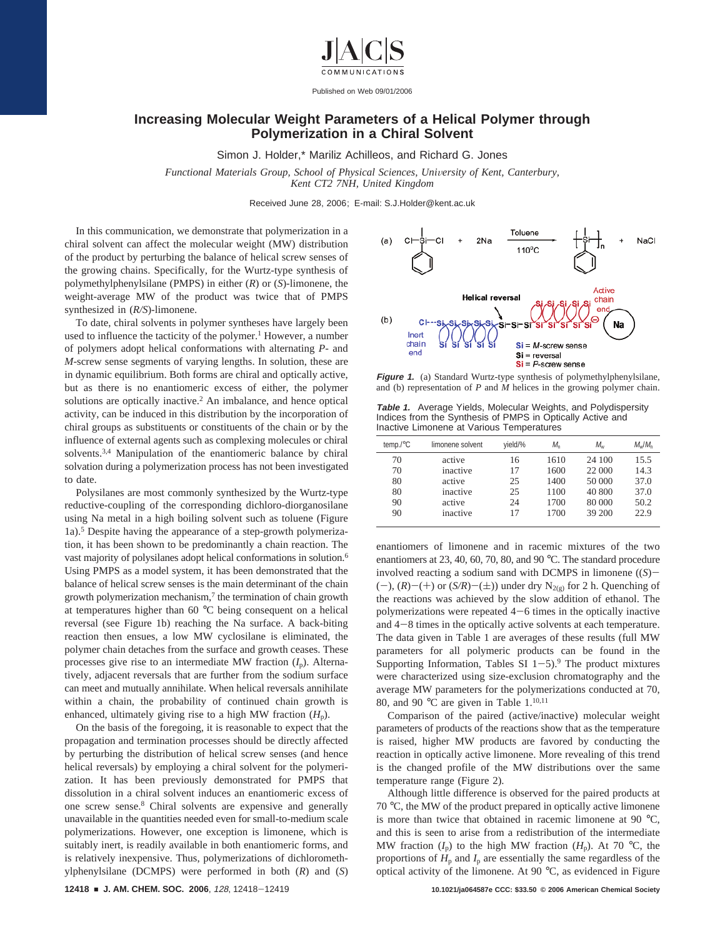

Published on Web 09/01/2006

#### **Increasing Molecular Weight Parameters of a Helical Polymer through Polymerization in a Chiral Solvent**

Simon J. Holder,\* Mariliz Achilleos, and Richard G. Jones

*Functional Materials Group, School of Physical Sciences, University of Kent, Canterbury, Kent CT2 7NH, United Kingdom*

Received June 28, 2006; E-mail: S.J.Holder@kent.ac.uk

In this communication, we demonstrate that polymerization in a chiral solvent can affect the molecular weight (MW) distribution of the product by perturbing the balance of helical screw senses of the growing chains. Specifically, for the Wurtz-type synthesis of polymethylphenylsilane (PMPS) in either (*R*) or (*S*)-limonene, the weight-average MW of the product was twice that of PMPS synthesized in (*R/S*)-limonene.

To date, chiral solvents in polymer syntheses have largely been used to influence the tacticity of the polymer.<sup>1</sup> However, a number of polymers adopt helical conformations with alternating *P-* and *M-*screw sense segments of varying lengths. In solution, these are in dynamic equilibrium. Both forms are chiral and optically active, but as there is no enantiomeric excess of either, the polymer solutions are optically inactive.<sup>2</sup> An imbalance, and hence optical activity, can be induced in this distribution by the incorporation of chiral groups as substituents or constituents of the chain or by the influence of external agents such as complexing molecules or chiral solvents.<sup>3,4</sup> Manipulation of the enantiomeric balance by chiral solvation during a polymerization process has not been investigated to date.

Polysilanes are most commonly synthesized by the Wurtz-type reductive-coupling of the corresponding dichloro-diorganosilane using Na metal in a high boiling solvent such as toluene (Figure 1a).<sup>5</sup> Despite having the appearance of a step-growth polymerization, it has been shown to be predominantly a chain reaction. The vast majority of polysilanes adopt helical conformations in solution.<sup>6</sup> Using PMPS as a model system, it has been demonstrated that the balance of helical screw senses is the main determinant of the chain growth polymerization mechanism, $<sup>7</sup>$  the termination of chain growth</sup> at temperatures higher than 60 °C being consequent on a helical reversal (see Figure 1b) reaching the Na surface. A back-biting reaction then ensues, a low MW cyclosilane is eliminated, the polymer chain detaches from the surface and growth ceases. These processes give rise to an intermediate MW fraction  $(I_p)$ . Alternatively, adjacent reversals that are further from the sodium surface can meet and mutually annihilate. When helical reversals annihilate within a chain, the probability of continued chain growth is enhanced, ultimately giving rise to a high MW fraction  $(H_p)$ .

On the basis of the foregoing, it is reasonable to expect that the propagation and termination processes should be directly affected by perturbing the distribution of helical screw senses (and hence helical reversals) by employing a chiral solvent for the polymerization. It has been previously demonstrated for PMPS that dissolution in a chiral solvent induces an enantiomeric excess of one screw sense.<sup>8</sup> Chiral solvents are expensive and generally unavailable in the quantities needed even for small-to-medium scale polymerizations. However, one exception is limonene, which is suitably inert, is readily available in both enantiomeric forms, and is relatively inexpensive. Thus, polymerizations of dichloromethylphenylsilane (DCMPS) were performed in both (*R*) and (*S*)



**Figure 1.** (a) Standard Wurtz-type synthesis of polymethylphenylsilane, and (b) representation of *P* and *M* helices in the growing polymer chain.

**Table 1.** Average Yields, Molecular Weights, and Polydispersity Indices from the Synthesis of PMPS in Optically Active and Inactive Limonene at Various Temperatures

| temp./ $\degree$ C | limonene solvent | yield/% | $M_{n}$ | Mw     | $M_{\rm w}/M_{\rm n}$ |
|--------------------|------------------|---------|---------|--------|-----------------------|
| 70                 | active           | 16      | 1610    | 24 100 | 15.5                  |
| 70                 | inactive         | 17      | 1600    | 22 000 | 14.3                  |
| 80                 | active           | 25      | 1400    | 50 000 | 37.0                  |
| 80                 | inactive         | 25      | 1100    | 40 800 | 37.0                  |
| 90                 | active           | 24      | 1700    | 80 000 | 50.2                  |
| 90                 | inactive         | 17      | 1700    | 39 200 | 22.9                  |
|                    |                  |         |         |        |                       |

enantiomers of limonene and in racemic mixtures of the two enantiomers at 23, 40, 60, 70, 80, and 90 °C. The standard procedure involved reacting a sodium sand with DCMPS in limonene ((*S*)-  $(-)$ ,  $(R)$ – $(+)$  or  $(S/R)$ – $(\pm)$ ) under dry N<sub>2(g)</sub> for 2 h. Quenching of the reactions was achieved by the slow addition of ethanol. The polymerizations were repeated  $4-6$  times in the optically inactive and 4-8 times in the optically active solvents at each temperature. The data given in Table 1 are averages of these results (full MW parameters for all polymeric products can be found in the Supporting Information, Tables SI  $1-5$ ).<sup>9</sup> The product mixtures were characterized using size-exclusion chromatography and the average MW parameters for the polymerizations conducted at 70, 80, and 90 °C are given in Table  $1.^{10,11}$ 

Comparison of the paired (active/inactive) molecular weight parameters of products of the reactions show that as the temperature is raised, higher MW products are favored by conducting the reaction in optically active limonene. More revealing of this trend is the changed profile of the MW distributions over the same temperature range (Figure 2).

Although little difference is observed for the paired products at 70 °C, the MW of the product prepared in optically active limonene is more than twice that obtained in racemic limonene at 90 °C, and this is seen to arise from a redistribution of the intermediate MW fraction  $(I_p)$  to the high MW fraction  $(H_p)$ . At 70 °C, the proportions of  $H_p$  and  $I_p$  are essentially the same regardless of the optical activity of the limonene. At 90 °C, as evidenced in Figure